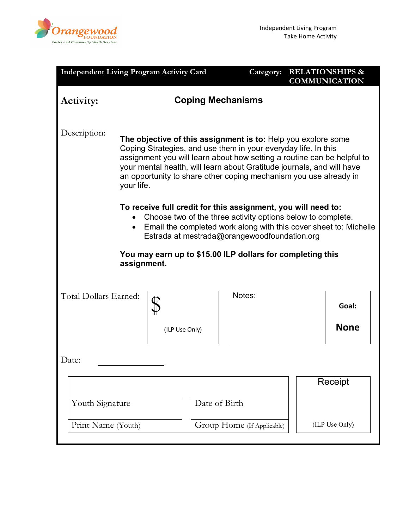

| <b>Independent Living Program Activity Card</b>                                                                                                                                                                                                                                                                                                                                                                                                                                                                                                                                                           |                |                                             | Category: |  | <b>RELATIONSHIPS &amp;</b><br><b>COMMUNICATION</b> |  |  |
|-----------------------------------------------------------------------------------------------------------------------------------------------------------------------------------------------------------------------------------------------------------------------------------------------------------------------------------------------------------------------------------------------------------------------------------------------------------------------------------------------------------------------------------------------------------------------------------------------------------|----------------|---------------------------------------------|-----------|--|----------------------------------------------------|--|--|
| <b>Coping Mechanisms</b><br>Activity:                                                                                                                                                                                                                                                                                                                                                                                                                                                                                                                                                                     |                |                                             |           |  |                                                    |  |  |
| Description:<br>The objective of this assignment is to: Help you explore some<br>Coping Strategies, and use them in your everyday life. In this<br>assignment you will learn about how setting a routine can be helpful to<br>your mental health, will learn about Gratitude journals, and will have<br>an opportunity to share other coping mechanism you use already in<br>your life.<br>To receive full credit for this assignment, you will need to:<br>Choose two of the three activity options below to complete.<br>Email the completed work along with this cover sheet to: Michelle<br>$\bullet$ |                |                                             |           |  |                                                    |  |  |
| Estrada at mestrada@orangewoodfoundation.org                                                                                                                                                                                                                                                                                                                                                                                                                                                                                                                                                              |                |                                             |           |  |                                                    |  |  |
| You may earn up to \$15.00 ILP dollars for completing this<br>assignment.                                                                                                                                                                                                                                                                                                                                                                                                                                                                                                                                 |                |                                             |           |  |                                                    |  |  |
|                                                                                                                                                                                                                                                                                                                                                                                                                                                                                                                                                                                                           |                |                                             |           |  |                                                    |  |  |
| Total Dollars Earned:                                                                                                                                                                                                                                                                                                                                                                                                                                                                                                                                                                                     |                |                                             | Notes:    |  | Goal:                                              |  |  |
|                                                                                                                                                                                                                                                                                                                                                                                                                                                                                                                                                                                                           | (ILP Use Only) |                                             |           |  | <b>None</b>                                        |  |  |
| Date:                                                                                                                                                                                                                                                                                                                                                                                                                                                                                                                                                                                                     |                |                                             |           |  |                                                    |  |  |
|                                                                                                                                                                                                                                                                                                                                                                                                                                                                                                                                                                                                           |                |                                             |           |  | Receipt                                            |  |  |
| Youth Signature<br>Print Name (Youth)                                                                                                                                                                                                                                                                                                                                                                                                                                                                                                                                                                     |                | Date of Birth<br>Group Home (If Applicable) |           |  |                                                    |  |  |
|                                                                                                                                                                                                                                                                                                                                                                                                                                                                                                                                                                                                           |                |                                             |           |  | (ILP Use Only)                                     |  |  |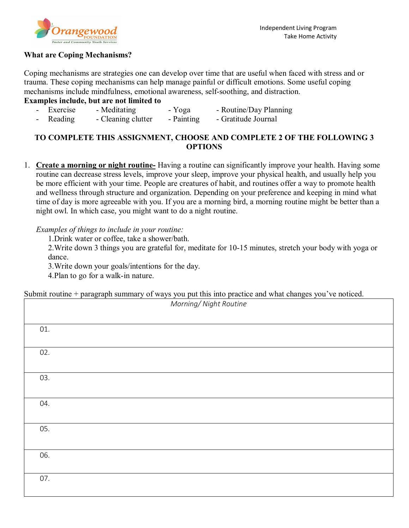

## **What are Coping Mechanisms?**

Coping mechanisms are strategies one can develop over time that are useful when faced with stress and or trauma. These coping mechanisms can help manage painful or difficult emotions. Some useful coping mechanisms include mindfulness, emotional awareness, self-soothing, and distraction.

## **Examples include, but are not limited to**

|     | - Exercise | - Meditating       | - Yoga     | - Routine/Day Planning |
|-----|------------|--------------------|------------|------------------------|
| - 1 | Reading    | - Cleaning clutter | - Painting | - Gratitude Journal    |

# **TO COMPLETE THIS ASSIGNMENT, CHOOSE AND COMPLETE 2 OF THE FOLLOWING 3 OPTIONS**

1. **Create a morning or night routine-** Having a routine can significantly improve your health. Having some routine can decrease stress levels, improve your sleep, improve your physical health, and usually help you be more efficient with your time. People are creatures of habit, and routines offer a way to promote health and wellness through structure and organization. Depending on your preference and keeping in mind what time of day is more agreeable with you. If you are a morning bird, a morning routine might be better than a night owl. In which case, you might want to do a night routine.

## *Examples of things to include in your routine:*

1.Drink water or coffee, take a shower/bath.

2.Write down 3 things you are grateful for, meditate for 10-15 minutes, stretch your body with yoga or dance.

3.Write down your goals/intentions for the day.

4.Plan to go for a walk-in nature.

Submit routine + paragraph summary of ways you put this into practice and what changes you've noticed.

| Morning/ Night Routine |  |  |  |  |  |  |
|------------------------|--|--|--|--|--|--|
|                        |  |  |  |  |  |  |
| 01.                    |  |  |  |  |  |  |
|                        |  |  |  |  |  |  |
| 02.                    |  |  |  |  |  |  |
|                        |  |  |  |  |  |  |
| 03.                    |  |  |  |  |  |  |
|                        |  |  |  |  |  |  |
| 04.                    |  |  |  |  |  |  |
|                        |  |  |  |  |  |  |
| 05.                    |  |  |  |  |  |  |
|                        |  |  |  |  |  |  |
| 06.                    |  |  |  |  |  |  |
|                        |  |  |  |  |  |  |
| 07.                    |  |  |  |  |  |  |
|                        |  |  |  |  |  |  |